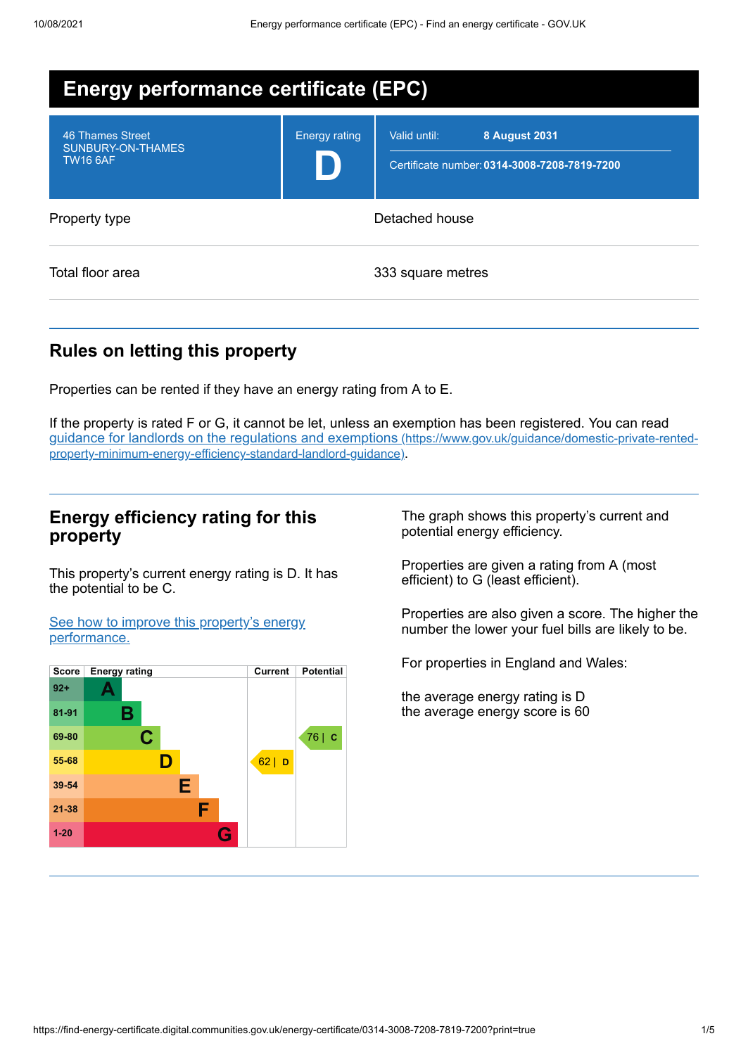| <b>Energy performance certificate (EPC)</b>              |                      |                                                                                      |
|----------------------------------------------------------|----------------------|--------------------------------------------------------------------------------------|
| 46 Thames Street<br>SUNBURY-ON-THAMES<br><b>TW16 6AF</b> | <b>Energy rating</b> | Valid until:<br><b>8 August 2031</b><br>Certificate number: 0314-3008-7208-7819-7200 |
| Property type                                            |                      | Detached house                                                                       |
| Total floor area                                         |                      | 333 square metres                                                                    |

# **Rules on letting this property**

Properties can be rented if they have an energy rating from A to E.

If the property is rated F or G, it cannot be let, unless an exemption has been registered. You can read guidance for landlords on the regulations and exemptions (https://www.gov.uk/guidance/domestic-private-rented[property-minimum-energy-efficiency-standard-landlord-guidance\)](https://www.gov.uk/guidance/domestic-private-rented-property-minimum-energy-efficiency-standard-landlord-guidance).

## **Energy efficiency rating for this property**

This property's current energy rating is D. It has the potential to be C.

See how to improve this property's energy [performance.](#page-2-0)



The graph shows this property's current and potential energy efficiency.

Properties are given a rating from A (most efficient) to G (least efficient).

Properties are also given a score. The higher the number the lower your fuel bills are likely to be.

For properties in England and Wales:

the average energy rating is D the average energy score is 60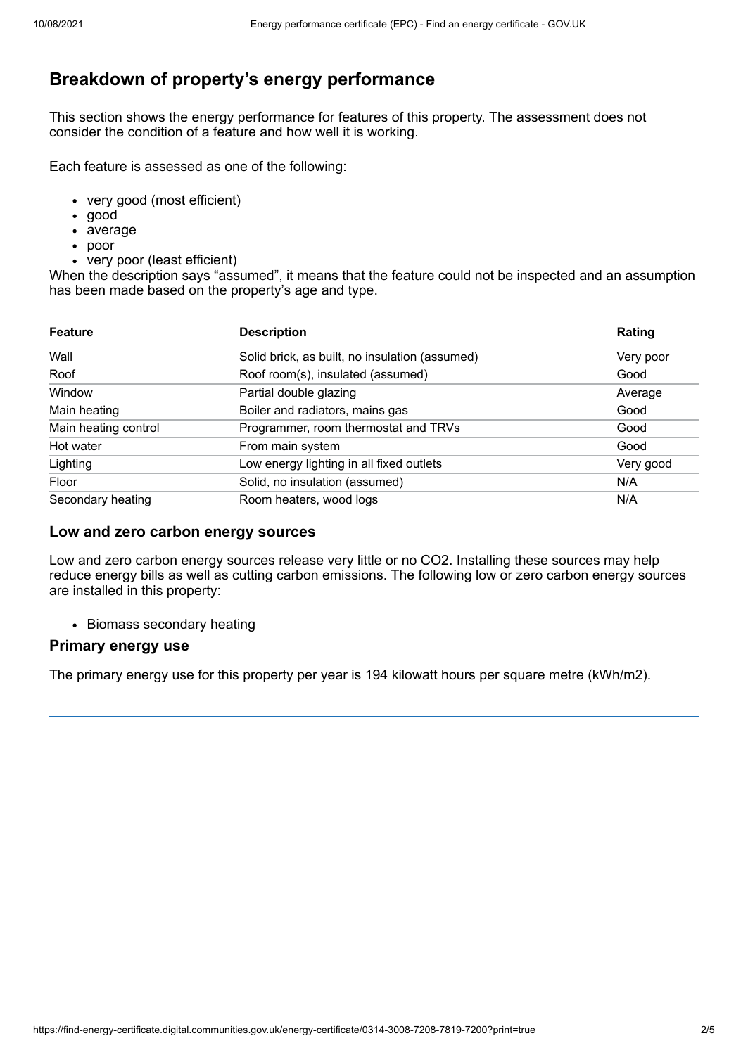# **Breakdown of property's energy performance**

This section shows the energy performance for features of this property. The assessment does not consider the condition of a feature and how well it is working.

Each feature is assessed as one of the following:

- very good (most efficient)
- good
- average
- poor
- very poor (least efficient)

When the description says "assumed", it means that the feature could not be inspected and an assumption has been made based on the property's age and type.

| <b>Feature</b>       | <b>Description</b>                             | Rating    |
|----------------------|------------------------------------------------|-----------|
| Wall                 | Solid brick, as built, no insulation (assumed) | Very poor |
| Roof                 | Roof room(s), insulated (assumed)              | Good      |
| Window               | Partial double glazing                         | Average   |
| Main heating         | Boiler and radiators, mains gas                | Good      |
| Main heating control | Programmer, room thermostat and TRVs           | Good      |
| Hot water            | From main system                               | Good      |
| Lighting             | Low energy lighting in all fixed outlets       | Very good |
| Floor                | Solid, no insulation (assumed)                 | N/A       |
| Secondary heating    | Room heaters, wood logs                        | N/A       |

### **Low and zero carbon energy sources**

Low and zero carbon energy sources release very little or no CO2. Installing these sources may help reduce energy bills as well as cutting carbon emissions. The following low or zero carbon energy sources are installed in this property:

• Biomass secondary heating

### **Primary energy use**

The primary energy use for this property per year is 194 kilowatt hours per square metre (kWh/m2).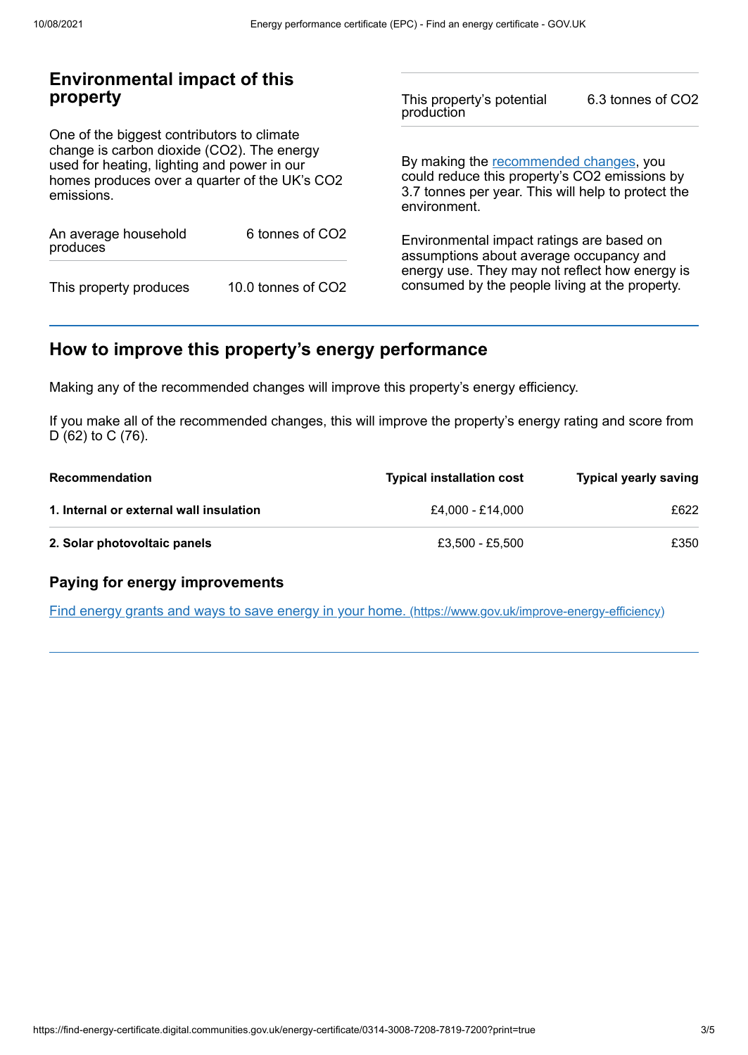## **Environmental impact of this property**

One of the biggest contributors to climate change is carbon dioxide (CO2). The energy used for heating, lighting and power in our homes produces over a quarter of the UK's CO2 emissions.

| An average household<br>produces | 6 tonnes of CO <sub>2</sub> |  |
|----------------------------------|-----------------------------|--|
| This property produces           | 10.0 tonnes of CO2          |  |

This property's potential production 6.3 tonnes of CO2

By making the [recommended](#page-2-0) changes, you could reduce this property's CO2 emissions by 3.7 tonnes per year. This will help to protect the environment.

Environmental impact ratings are based on assumptions about average occupancy and energy use. They may not reflect how energy is consumed by the people living at the property.

# <span id="page-2-0"></span>**How to improve this property's energy performance**

Making any of the recommended changes will improve this property's energy efficiency.

If you make all of the recommended changes, this will improve the property's energy rating and score from D (62) to C (76).

| Recommendation                          | <b>Typical installation cost</b> | <b>Typical yearly saving</b> |
|-----------------------------------------|----------------------------------|------------------------------|
| 1. Internal or external wall insulation | £4.000 - £14.000                 | £622                         |
| 2. Solar photovoltaic panels            | £3.500 - £5.500                  | £350                         |

## **Paying for energy improvements**

Find energy grants and ways to save energy in your home. [\(https://www.gov.uk/improve-energy-efficiency\)](https://www.gov.uk/improve-energy-efficiency)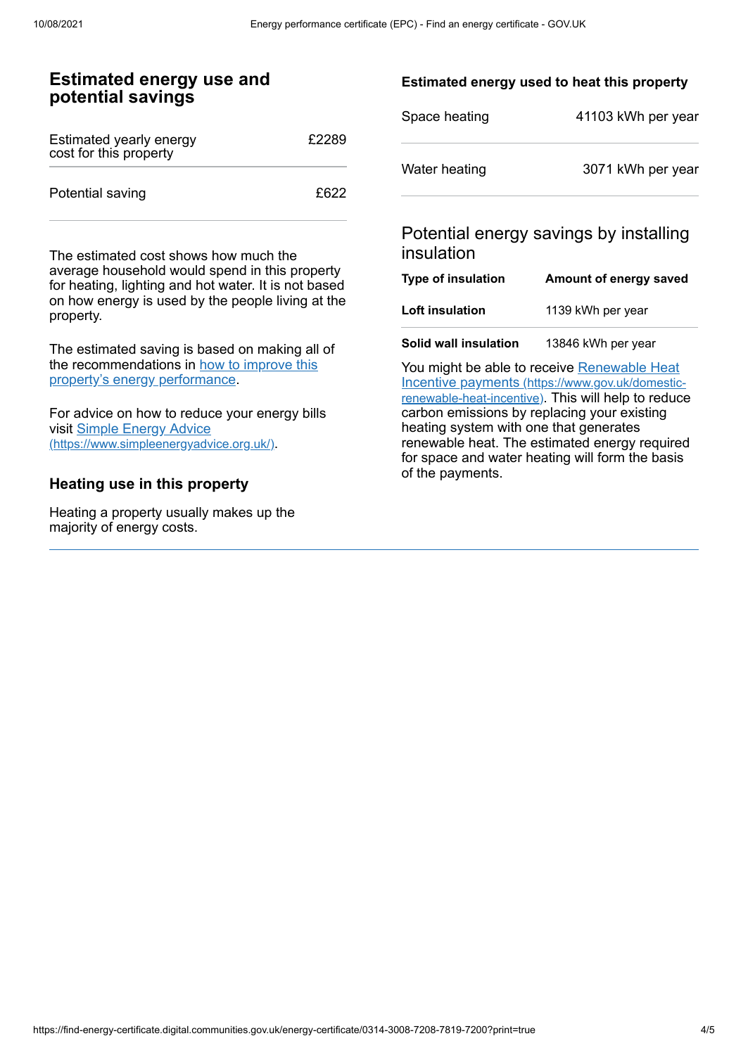## **Estimated energy use and potential savings**

| Estimated yearly energy<br>cost for this property | £2289 |
|---------------------------------------------------|-------|
| Potential saving                                  | £622  |

The estimated cost shows how much the average household would spend in this property for heating, lighting and hot water. It is not based on how energy is used by the people living at the property.

The estimated saving is based on making all of the [recommendations](#page-2-0) in how to improve this property's energy performance.

For advice on how to reduce your energy bills visit Simple Energy Advice [\(https://www.simpleenergyadvice.org.uk/\)](https://www.simpleenergyadvice.org.uk/).

### **Heating use in this property**

Heating a property usually makes up the majority of energy costs.

### **Estimated energy used to heat this property**

| Space heating | 41103 kWh per year |
|---------------|--------------------|
| Water heating | 3071 kWh per year  |

## Potential energy savings by installing insulation

| Type of insulation     | Amount of energy saved |
|------------------------|------------------------|
| <b>Loft insulation</b> | 1139 kWh per year      |
| Solid wall insulation  | 13846 kWh per year     |

You might be able to receive Renewable Heat Incentive payments [\(https://www.gov.uk/domestic](https://www.gov.uk/domestic-renewable-heat-incentive)renewable-heat-incentive). This will help to reduce carbon emissions by replacing your existing heating system with one that generates renewable heat. The estimated energy required for space and water heating will form the basis of the payments.